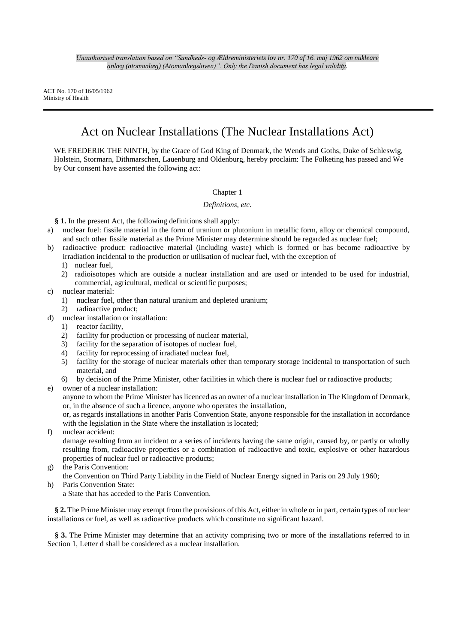ACT No. 170 of 16/05/1962 Ministry of Health

# Act on Nuclear Installations (The Nuclear Installations Act)

WE FREDERIK THE NINTH, by the Grace of God King of Denmark, the Wends and Goths, Duke of Schleswig, Holstein, Stormarn, Dithmarschen, Lauenburg and Oldenburg, hereby proclaim: The Folketing has passed and We by Our consent have assented the following act:

# Chapter 1

# *Definitions, etc.*

**§ 1.** In the present Act, the following definitions shall apply:

- a) nuclear fuel: fissile material in the form of uranium or plutonium in metallic form, alloy or chemical compound, and such other fissile material as the Prime Minister may determine should be regarded as nuclear fuel;
- b) radioactive product: radioactive material (including waste) which is formed or has become radioactive by irradiation incidental to the production or utilisation of nuclear fuel, with the exception of
	- 1) nuclear fuel,
	- 2) radioisotopes which are outside a nuclear installation and are used or intended to be used for industrial, commercial, agricultural, medical or scientific purposes;
- c) nuclear material:
	- 1) nuclear fuel, other than natural uranium and depleted uranium;
- 2) radioactive product;
- d) nuclear installation or installation:
	- 1) reactor facility,
	- 2) facility for production or processing of nuclear material,
	- 3) facility for the separation of isotopes of nuclear fuel,
	- 4) facility for reprocessing of irradiated nuclear fuel,
	- 5) facility for the storage of nuclear materials other than temporary storage incidental to transportation of such material, and
	- 6) by decision of the Prime Minister, other facilities in which there is nuclear fuel or radioactive products;
- e) owner of a nuclear installation:

anyone to whom the Prime Minister has licenced as an owner of a nuclear installation in The Kingdom of Denmark, or, in the absence of such a licence, anyone who operates the installation,

or, as regards installations in another Paris Convention State, anyone responsible for the installation in accordance with the legislation in the State where the installation is located;

f) nuclear accident:

damage resulting from an incident or a series of incidents having the same origin, caused by, or partly or wholly resulting from, radioactive properties or a combination of radioactive and toxic, explosive or other hazardous properties of nuclear fuel or radioactive products;

g) the Paris Convention:

the Convention on Third Party Liability in the Field of Nuclear Energy signed in Paris on 29 July 1960; h) Paris Convention State:

a State that has acceded to the Paris Convention.

**§ 2.** The Prime Minister may exempt from the provisions of this Act, either in whole or in part, certain types of nuclear installations or fuel, as well as radioactive products which constitute no significant hazard.

**§ 3.** The Prime Minister may determine that an activity comprising two or more of the installations referred to in Section 1, Letter d shall be considered as a nuclear installation.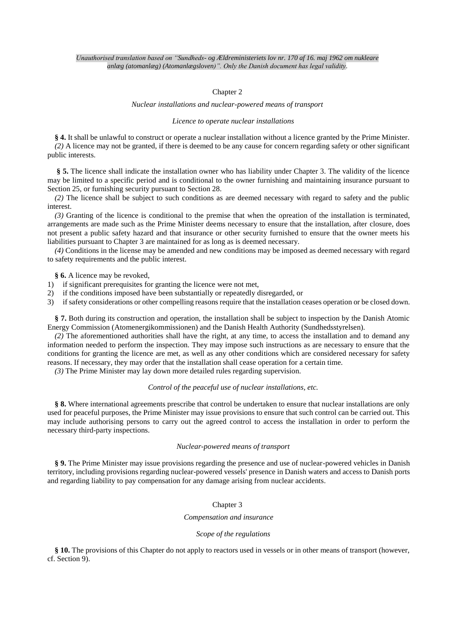# Chapter 2

#### *Nuclear installations and nuclear-powered means of transport*

#### *Licence to operate nuclear installations*

**§ 4.** It shall be unlawful to construct or operate a nuclear installation without a licence granted by the Prime Minister. *(2)* A licence may not be granted, if there is deemed to be any cause for concern regarding safety or other significant public interests.

**§ 5.** The licence shall indicate the installation owner who has liability under Chapter 3. The validity of the licence may be limited to a specific period and is conditional to the owner furnishing and maintaining insurance pursuant to Section 25, or furnishing security pursuant to Section 28.

*(2)* The licence shall be subject to such conditions as are deemed necessary with regard to safety and the public interest.

*(3)* Granting of the licence is conditional to the premise that when the opreation of the installation is terminated, arrangements are made such as the Prime Minister deems necessary to ensure that the installation, after closure, does not present a public safety hazard and that insurance or other security furnished to ensure that the owner meets his liabilities pursuant to Chapter 3 are maintained for as long as is deemed necessary.

*(4)* Conditions in the license may be amended and new conditions may be imposed as deemed necessary with regard to safety requirements and the public interest.

**§ 6.** A licence may be revoked,

- 1) if significant prerequisites for granting the licence were not met,
- 2) if the conditions imposed have been substantially or repeatedly disregarded, or

3) if safety considerations or other compelling reasons require that the installation ceases operation or be closed down.

**§ 7.** Both during its construction and operation, the installation shall be subject to inspection by the Danish Atomic Energy Commission (Atomenergikommissionen) and the Danish Health Authority (Sundhedsstyrelsen).

*(2)* The aforementioned authorities shall have the right, at any time, to access the installation and to demand any information needed to perform the inspection. They may impose such instructions as are necessary to ensure that the conditions for granting the licence are met, as well as any other conditions which are considered necessary for safety reasons. If necessary, they may order that the installation shall cease operation for a certain time.

*(3)* The Prime Minister may lay down more detailed rules regarding supervision.

## *Control of the peaceful use of nuclear installations, etc.*

**§ 8.** Where international agreements prescribe that control be undertaken to ensure that nuclear installations are only used for peaceful purposes, the Prime Minister may issue provisions to ensure that such control can be carried out. This may include authorising persons to carry out the agreed control to access the installation in order to perform the necessary third-party inspections.

# *Nuclear-powered means of transport*

**§ 9.** The Prime Minister may issue provisions regarding the presence and use of nuclear-powered vehicles in Danish territory, including provisions regarding nuclear-powered vessels' presence in Danish waters and access to Danish ports and regarding liability to pay compensation for any damage arising from nuclear accidents.

# Chapter 3

#### *Compensation and insurance*

# *Scope of the regulations*

**§ 10.** The provisions of this Chapter do not apply to reactors used in vessels or in other means of transport (however, cf. Section 9).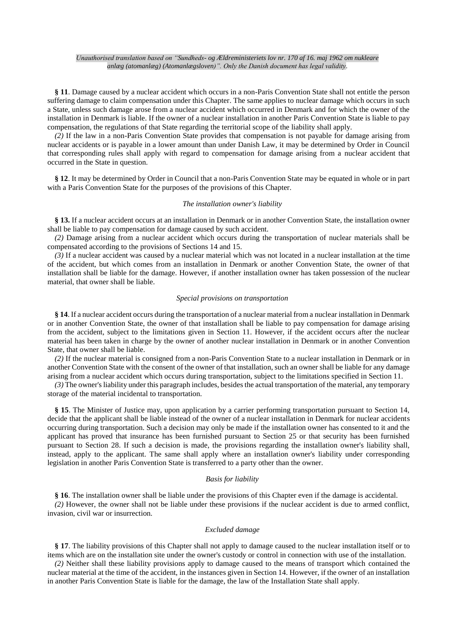**§ 11**. Damage caused by a nuclear accident which occurs in a non-Paris Convention State shall not entitle the person suffering damage to claim compensation under this Chapter. The same applies to nuclear damage which occurs in such a State, unless such damage arose from a nuclear accident which occurred in Denmark and for which the owner of the installation in Denmark is liable. If the owner of a nuclear installation in another Paris Convention State is liable to pay compensation, the regulations of that State regarding the territorial scope of the liability shall apply.

*(2)* If the law in a non-Paris Convention State provides that compensation is not payable for damage arising from nuclear accidents or is payable in a lower amount than under Danish Law, it may be determined by Order in Council that corresponding rules shall apply with regard to compensation for damage arising from a nuclear accident that occurred in the State in question.

**§ 12**. It may be determined by Order in Council that a non-Paris Convention State may be equated in whole or in part with a Paris Convention State for the purposes of the provisions of this Chapter.

#### *The installation owner's liability*

**§ 13.** If a nuclear accident occurs at an installation in Denmark or in another Convention State, the installation owner shall be liable to pay compensation for damage caused by such accident.

*(2)* Damage arising from a nuclear accident which occurs during the transportation of nuclear materials shall be compensated according to the provisions of Sections 14 and 15.

*(3)* If a nuclear accident was caused by a nuclear material which was not located in a nuclear installation at the time of the accident, but which comes from an installation in Denmark or another Convention State, the owner of that installation shall be liable for the damage. However, if another installation owner has taken possession of the nuclear material, that owner shall be liable.

# *Special provisions on transportation*

**§ 14**. If a nuclear accident occurs during the transportation of a nuclear material from a nuclear installation in Denmark or in another Convention State, the owner of that installation shall be liable to pay compensation for damage arising from the accident, subject to the limitations given in Section 11. However, if the accident occurs after the nuclear material has been taken in charge by the owner of another nuclear installation in Denmark or in another Convention State, that owner shall be liable.

*(2)* If the nuclear material is consigned from a non-Paris Convention State to a nuclear installation in Denmark or in another Convention State with the consent of the owner of that installation, such an owner shall be liable for any damage arising from a nuclear accident which occurs during transportation, subject to the limitations specified in Section 11.

*(3)* The owner's liability under this paragraph includes, besides the actual transportation of the material, any temporary storage of the material incidental to transportation.

**§ 15**. The Minister of Justice may, upon application by a carrier performing transportation pursuant to Section 14, decide that the applicant shall be liable instead of the owner of a nuclear installation in Denmark for nuclear accidents occurring during transportation. Such a decision may only be made if the installation owner has consented to it and the applicant has proved that insurance has been furnished pursuant to Section 25 or that security has been furnished pursuant to Section 28. If such a decision is made, the provisions regarding the installation owner's liability shall, instead, apply to the applicant. The same shall apply where an installation owner's liability under corresponding legislation in another Paris Convention State is transferred to a party other than the owner.

#### *Basis for liability*

**§ 16**. The installation owner shall be liable under the provisions of this Chapter even if the damage is accidental.

*(2)* However, the owner shall not be liable under these provisions if the nuclear accident is due to armed conflict, invasion, civil war or insurrection.

# *Excluded damage*

**§ 17**. The liability provisions of this Chapter shall not apply to damage caused to the nuclear installation itself or to items which are on the installation site under the owner's custody or control in connection with use of the installation.

*(2)* Neither shall these liability provisions apply to damage caused to the means of transport which contained the nuclear material at the time of the accident, in the instances given in Section 14. However, if the owner of an installation in another Paris Convention State is liable for the damage, the law of the Installation State shall apply.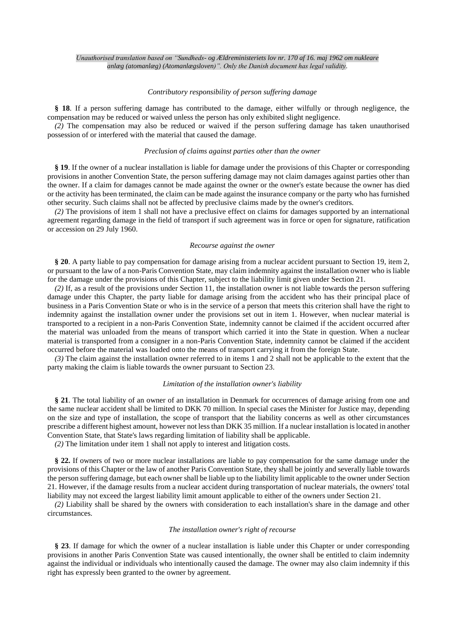#### *Contributory responsibility of person suffering damage*

**§ 18**. If a person suffering damage has contributed to the damage, either wilfully or through negligence, the compensation may be reduced or waived unless the person has only exhibited slight negligence.

*(2)* The compensation may also be reduced or waived if the person suffering damage has taken unauthorised possession of or interfered with the material that caused the damage.

#### *Preclusion of claims against parties other than the owner*

**§ 19**. If the owner of a nuclear installation is liable for damage under the provisions of this Chapter or corresponding provisions in another Convention State, the person suffering damage may not claim damages against parties other than the owner. If a claim for damages cannot be made against the owner or the owner's estate because the owner has died or the activity has been terminated, the claim can be made against the insurance company or the party who has furnished other security. Such claims shall not be affected by preclusive claims made by the owner's creditors.

*(2)* The provisions of item 1 shall not have a preclusive effect on claims for damages supported by an international agreement regarding damage in the field of transport if such agreement was in force or open for signature, ratification or accession on 29 July 1960.

#### *Recourse against the owner*

**§ 20**. A party liable to pay compensation for damage arising from a nuclear accident pursuant to Section 19, item 2, or pursuant to the law of a non-Paris Convention State, may claim indemnity against the installation owner who is liable for the damage under the provisions of this Chapter, subject to the liability limit given under Section 21.

*(2)* If, as a result of the provisions under Section 11, the installation owner is not liable towards the person suffering damage under this Chapter, the party liable for damage arising from the accident who has their principal place of business in a Paris Convention State or who is in the service of a person that meets this criterion shall have the right to indemnity against the installation owner under the provisions set out in item 1. However, when nuclear material is transported to a recipient in a non-Paris Convention State, indemnity cannot be claimed if the accident occurred after the material was unloaded from the means of transport which carried it into the State in question. When a nuclear material is transported from a consigner in a non-Paris Convention State, indemnity cannot be claimed if the accident occurred before the material was loaded onto the means of transport carrying it from the foreign State.

*(3)* The claim against the installation owner referred to in items 1 and 2 shall not be applicable to the extent that the party making the claim is liable towards the owner pursuant to Section 23.

## *Limitation of the installation owner's liability*

**§ 21**. The total liability of an owner of an installation in Denmark for occurrences of damage arising from one and the same nuclear accident shall be limited to DKK 70 million. In special cases the Minister for Justice may, depending on the size and type of installation, the scope of transport that the liability concerns as well as other circumstances prescribe a different highest amount, however not less than DKK 35 million. If a nuclear installation is located in another Convention State, that State's laws regarding limitation of liability shall be applicable.

*(2)* The limitation under item 1 shall not apply to interest and litigation costs.

**§ 22.** If owners of two or more nuclear installations are liable to pay compensation for the same damage under the provisions of this Chapter or the law of another Paris Convention State, they shall be jointly and severally liable towards the person suffering damage, but each owner shall be liable up to the liability limit applicable to the owner under Section 21. However, if the damage results from a nuclear accident during transportation of nuclear materials, the owners' total liability may not exceed the largest liability limit amount applicable to either of the owners under Section 21.

*(2)* Liability shall be shared by the owners with consideration to each installation's share in the damage and other circumstances.

# *The installation owner's right of recourse*

**§ 23**. If damage for which the owner of a nuclear installation is liable under this Chapter or under corresponding provisions in another Paris Convention State was caused intentionally, the owner shall be entitled to claim indemnity against the individual or individuals who intentionally caused the damage. The owner may also claim indemnity if this right has expressly been granted to the owner by agreement.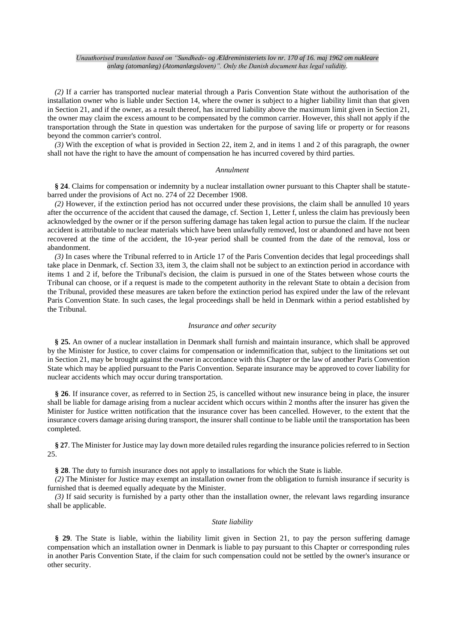*(2)* If a carrier has transported nuclear material through a Paris Convention State without the authorisation of the installation owner who is liable under Section 14, where the owner is subject to a higher liability limit than that given in Section 21, and if the owner, as a result thereof, has incurred liability above the maximum limit given in Section 21, the owner may claim the excess amount to be compensated by the common carrier. However, this shall not apply if the transportation through the State in question was undertaken for the purpose of saving life or property or for reasons beyond the common carrier's control.

*(3)* With the exception of what is provided in Section 22, item 2, and in items 1 and 2 of this paragraph, the owner shall not have the right to have the amount of compensation he has incurred covered by third parties.

## *Annulment*

**§ 24**. Claims for compensation or indemnity by a nuclear installation owner pursuant to this Chapter shall be statutebarred under the provisions of Act no. 274 of 22 December 1908.

*(2)* However, if the extinction period has not occurred under these provisions, the claim shall be annulled 10 years after the occurrence of the accident that caused the damage, cf. Section 1, Letter f, unless the claim has previously been acknowledged by the owner or if the person suffering damage has taken legal action to pursue the claim. If the nuclear accident is attributable to nuclear materials which have been unlawfully removed, lost or abandoned and have not been recovered at the time of the accident, the 10-year period shall be counted from the date of the removal, loss or abandonment.

*(3)* In cases where the Tribunal referred to in Article 17 of the Paris Convention decides that legal proceedings shall take place in Denmark, cf. Section 33, item 3, the claim shall not be subject to an extinction period in accordance with items 1 and 2 if, before the Tribunal's decision, the claim is pursued in one of the States between whose courts the Tribunal can choose, or if a request is made to the competent authority in the relevant State to obtain a decision from the Tribunal, provided these measures are taken before the extinction period has expired under the law of the relevant Paris Convention State. In such cases, the legal proceedings shall be held in Denmark within a period established by the Tribunal.

## *Insurance and other security*

**§ 25.** An owner of a nuclear installation in Denmark shall furnish and maintain insurance, which shall be approved by the Minister for Justice, to cover claims for compensation or indemnification that, subject to the limitations set out in Section 21, may be brought against the owner in accordance with this Chapter or the law of another Paris Convention State which may be applied pursuant to the Paris Convention. Separate insurance may be approved to cover liability for nuclear accidents which may occur during transportation.

**§ 26**. If insurance cover, as referred to in Section 25, is cancelled without new insurance being in place, the insurer shall be liable for damage arising from a nuclear accident which occurs within 2 months after the insurer has given the Minister for Justice written notification that the insurance cover has been cancelled. However, to the extent that the insurance covers damage arising during transport, the insurer shall continue to be liable until the transportation has been completed.

**§ 27**. The Minister for Justice may lay down more detailed rules regarding the insurance policies referred to in Section 25.

**§ 28**. The duty to furnish insurance does not apply to installations for which the State is liable.

*(2)* The Minister for Justice may exempt an installation owner from the obligation to furnish insurance if security is furnished that is deemed equally adequate by the Minister.

*(3)* If said security is furnished by a party other than the installation owner, the relevant laws regarding insurance shall be applicable.

#### *State liability*

**§ 29**. The State is liable, within the liability limit given in Section 21, to pay the person suffering damage compensation which an installation owner in Denmark is liable to pay pursuant to this Chapter or corresponding rules in another Paris Convention State, if the claim for such compensation could not be settled by the owner's insurance or other security.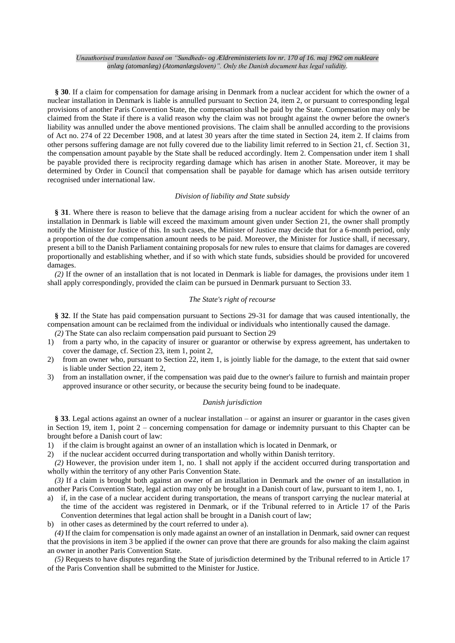**§ 30**. If a claim for compensation for damage arising in Denmark from a nuclear accident for which the owner of a nuclear installation in Denmark is liable is annulled pursuant to Section 24, item 2, or pursuant to corresponding legal provisions of another Paris Convention State, the compensation shall be paid by the State. Compensation may only be claimed from the State if there is a valid reason why the claim was not brought against the owner before the owner's liability was annulled under the above mentioned provisions. The claim shall be annulled according to the provisions of Act no. 274 of 22 December 1908, and at latest 30 years after the time stated in Section 24, item 2. If claims from other persons suffering damage are not fully covered due to the liability limit referred to in Section 21, cf. Section 31, the compensation amount payable by the State shall be reduced accordingly. Item 2. Compensation under item 1 shall be payable provided there is reciprocity regarding damage which has arisen in another State. Moreover, it may be determined by Order in Council that compensation shall be payable for damage which has arisen outside territory recognised under international law.

### *Division of liability and State subsidy*

**§ 31**. Where there is reason to believe that the damage arising from a nuclear accident for which the owner of an installation in Denmark is liable will exceed the maximum amount given under Section 21, the owner shall promptly notify the Minister for Justice of this. In such cases, the Minister of Justice may decide that for a 6-month period, only a proportion of the due compensation amount needs to be paid. Moreover, the Minister for Justice shall, if necessary, present a bill to the Danish Parliament containing proposals for new rules to ensure that claims for damages are covered proportionally and establishing whether, and if so with which state funds, subsidies should be provided for uncovered damages.

*(2)* If the owner of an installation that is not located in Denmark is liable for damages, the provisions under item 1 shall apply correspondingly, provided the claim can be pursued in Denmark pursuant to Section 33.

# *The State's right of recourse*

**§ 32**. If the State has paid compensation pursuant to Sections 29-31 for damage that was caused intentionally, the compensation amount can be reclaimed from the individual or individuals who intentionally caused the damage.

*(2)* The State can also reclaim compensation paid pursuant to Section 29

- 1) from a party who, in the capacity of insurer or guarantor or otherwise by express agreement, has undertaken to cover the damage, cf. Section 23, item 1, point 2,
- 2) from an owner who, pursuant to Section 22, item 1, is jointly liable for the damage, to the extent that said owner is liable under Section 22, item 2,
- 3) from an installation owner, if the compensation was paid due to the owner's failure to furnish and maintain proper approved insurance or other security, or because the security being found to be inadequate.

# *Danish jurisdiction*

**§ 33**. Legal actions against an owner of a nuclear installation – or against an insurer or guarantor in the cases given in Section 19, item 1, point 2 – concerning compensation for damage or indemnity pursuant to this Chapter can be brought before a Danish court of law:

1) if the claim is brought against an owner of an installation which is located in Denmark, or

2) if the nuclear accident occurred during transportation and wholly within Danish territory.

*(2)* However, the provision under item 1, no. 1 shall not apply if the accident occurred during transportation and wholly within the territory of any other Paris Convention State.

*(3)* If a claim is brought both against an owner of an installation in Denmark and the owner of an installation in another Paris Convention State, legal action may only be brought in a Danish court of law, pursuant to item 1, no. 1,

a) if, in the case of a nuclear accident during transportation, the means of transport carrying the nuclear material at the time of the accident was registered in Denmark, or if the Tribunal referred to in Article 17 of the Paris Convention determines that legal action shall be brought in a Danish court of law;

b) in other cases as determined by the court referred to under a).

*(4)* If the claim for compensation is only made against an owner of an installation in Denmark, said owner can request that the provisions in item 3 be applied if the owner can prove that there are grounds for also making the claim against an owner in another Paris Convention State.

*(5)* Requests to have disputes regarding the State of jurisdiction determined by the Tribunal referred to in Article 17 of the Paris Convention shall be submitted to the Minister for Justice.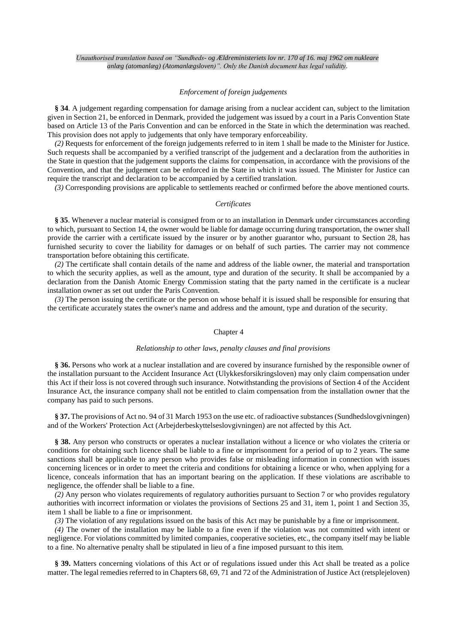# *Enforcement of foreign judgements*

**§ 34**. A judgement regarding compensation for damage arising from a nuclear accident can, subject to the limitation given in Section 21, be enforced in Denmark, provided the judgement was issued by a court in a Paris Convention State based on Article 13 of the Paris Convention and can be enforced in the State in which the determination was reached. This provision does not apply to judgements that only have temporary enforceability.

*(2)* Requests for enforcement of the foreign judgements referred to in item 1 shall be made to the Minister for Justice. Such requests shall be accompanied by a verified transcript of the judgement and a declaration from the authorities in the State in question that the judgement supports the claims for compensation, in accordance with the provisions of the Convention, and that the judgement can be enforced in the State in which it was issued. The Minister for Justice can require the transcript and declaration to be accompanied by a certified translation.

*(3)* Corresponding provisions are applicable to settlements reached or confirmed before the above mentioned courts.

#### *Certificates*

**§ 35**. Whenever a nuclear material is consigned from or to an installation in Denmark under circumstances according to which, pursuant to Section 14, the owner would be liable for damage occurring during transportation, the owner shall provide the carrier with a certificate issued by the insurer or by another guarantor who, pursuant to Section 28, has furnished security to cover the liability for damages or on behalf of such parties. The carrier may not commence transportation before obtaining this certificate.

*(2)* The certificate shall contain details of the name and address of the liable owner, the material and transportation to which the security applies, as well as the amount, type and duration of the security. It shall be accompanied by a declaration from the Danish Atomic Energy Commission stating that the party named in the certificate is a nuclear installation owner as set out under the Paris Convention.

*(3)* The person issuing the certificate or the person on whose behalf it is issued shall be responsible for ensuring that the certificate accurately states the owner's name and address and the amount, type and duration of the security.

#### Chapter 4

#### *Relationship to other laws, penalty clauses and final provisions*

**§ 36.** Persons who work at a nuclear installation and are covered by insurance furnished by the responsible owner of the installation pursuant to the Accident Insurance Act (Ulykkesforsikringsloven) may only claim compensation under this Act if their loss is not covered through such insurance. Notwithstanding the provisions of Section 4 of the Accident Insurance Act, the insurance company shall not be entitled to claim compensation from the installation owner that the company has paid to such persons.

**§ 37.** The provisions of Act no. 94 of 31 March 1953 on the use etc. of radioactive substances (Sundhedslovgivningen) and of the Workers' Protection Act (Arbejderbeskyttelseslovgivningen) are not affected by this Act.

**§ 38.** Any person who constructs or operates a nuclear installation without a licence or who violates the criteria or conditions for obtaining such licence shall be liable to a fine or imprisonment for a period of up to 2 years. The same sanctions shall be applicable to any person who provides false or misleading information in connection with issues concerning licences or in order to meet the criteria and conditions for obtaining a licence or who, when applying for a licence, conceals information that has an important bearing on the application. If these violations are ascribable to negligence, the offender shall be liable to a fine.

*(2)* Any person who violates requirements of regulatory authorities pursuant to Section 7 or who provides regulatory authorities with incorrect information or violates the provisions of Sections 25 and 31, item 1, point 1 and Section 35, item 1 shall be liable to a fine or imprisonment.

*(3)* The violation of any regulations issued on the basis of this Act may be punishable by a fine or imprisonment.

*(4)* The owner of the installation may be liable to a fine even if the violation was not committed with intent or negligence. For violations committed by limited companies, cooperative societies, etc., the company itself may be liable to a fine. No alternative penalty shall be stipulated in lieu of a fine imposed pursuant to this item.

**§ 39.** Matters concerning violations of this Act or of regulations issued under this Act shall be treated as a police matter. The legal remedies referred to in Chapters 68, 69, 71 and 72 of the Administration of Justice Act (retsplejeloven)